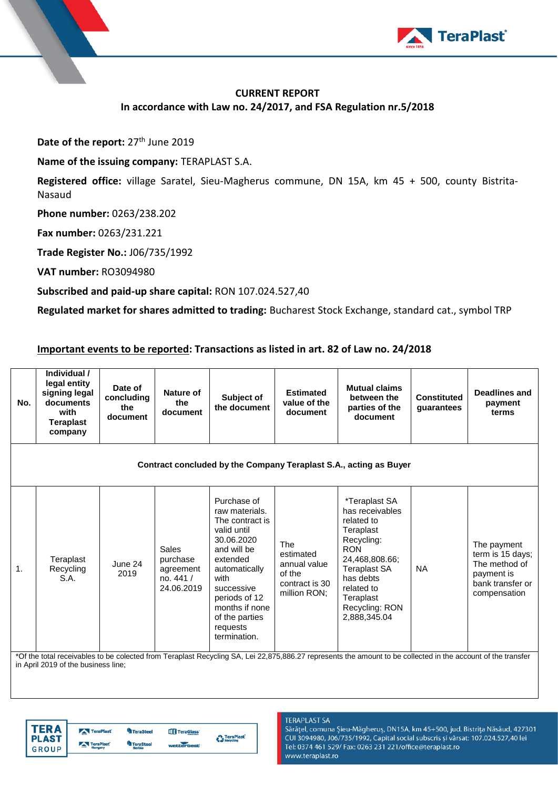

## **CURRENT REPORT In accordance with Law no. 24/2017, and FSA Regulation nr.5/2018**

Date of the report: 27<sup>th</sup> June 2019

**Name of the issuing company:** TERAPLAST S.A.

**Registered office:** village Saratel, Sieu-Magherus commune, DN 15A, km 45 + 500, county Bistrita-Nasaud

**Phone number:** 0263/238.202

**Fax number:** 0263/231.221

**Trade Register No.:** J06/735/1992

**VAT number:** RO3094980

**Subscribed and paid-up share capital:** RON 107.024.527,40

**Regulated market for shares admitted to trading:** Bucharest Stock Exchange, standard cat., symbol TRP

## **Important events to be reported: Transactions as listed in art. 82 of Law no. 24/2018**

| No.                                                               | Individual /<br>legal entity<br>signing legal<br>documents<br>with<br>Teraplast<br>company | Date of<br>concluding<br>the<br>document | Nature of<br>the<br>document                                      | Subject of<br>the document                                                                                                                                                                                                       | <b>Estimated</b><br>value of the<br>document                                        | <b>Mutual claims</b><br>between the<br>parties of the<br>document                                                                                                                                          | Constituted<br>guarantees | Deadlines and<br>payment<br>terms                                                                  |  |
|-------------------------------------------------------------------|--------------------------------------------------------------------------------------------|------------------------------------------|-------------------------------------------------------------------|----------------------------------------------------------------------------------------------------------------------------------------------------------------------------------------------------------------------------------|-------------------------------------------------------------------------------------|------------------------------------------------------------------------------------------------------------------------------------------------------------------------------------------------------------|---------------------------|----------------------------------------------------------------------------------------------------|--|
| Contract concluded by the Company Teraplast S.A., acting as Buyer |                                                                                            |                                          |                                                                   |                                                                                                                                                                                                                                  |                                                                                     |                                                                                                                                                                                                            |                           |                                                                                                    |  |
| 1.                                                                | Teraplast<br>Recycling<br>S.A.                                                             | June 24<br>2019                          | <b>Sales</b><br>purchase<br>agreement<br>no. $441/$<br>24.06.2019 | Purchase of<br>raw materials.<br>The contract is<br>valid until<br>30.06.2020<br>and will be<br>extended<br>automatically<br>with<br>successive<br>periods of 12<br>months if none<br>of the parties<br>requests<br>termination. | <b>The</b><br>estimated<br>annual value<br>of the<br>contract is 30<br>million RON: | *Teraplast SA<br>has receivables<br>related to<br>Teraplast<br>Recycling:<br><b>RON</b><br>24,468,808.66;<br><b>Teraplast SA</b><br>has debts<br>related to<br>Teraplast<br>Recycling: RON<br>2,888,345.04 | NA.                       | The payment<br>term is 15 days;<br>The method of<br>payment is<br>bank transfer or<br>compensation |  |

\*Of the total receivables to be colected from Teraplast Recycling SA, Lei 22,875,886.27 represents the amount to be collected in the account of the transfer in April 2019 of the business line;



## **TERAPLAST SA**

Sărățel, comuna Șieu-Măgheruș, DN15A, km 45+500, jud. Bistrița Năsăud, 427301 CUI 3094980, J06/735/1992, Capital social subscris și vărsat: 107.024.527,40 lei Tel: 0374 461 529/ Fax: 0263 231 221/office@teraplast.ro www.teraplast.ro